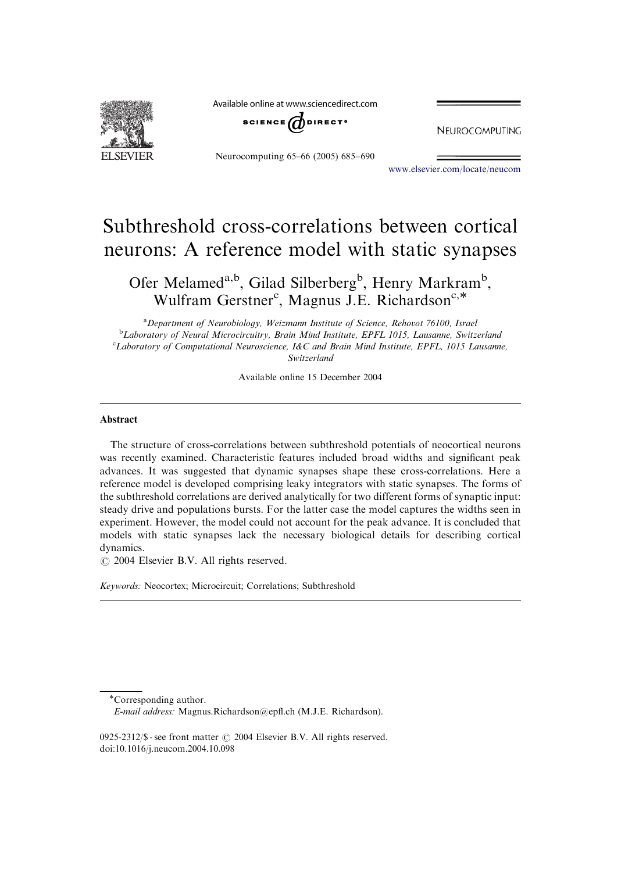Available online at www.sciencedirect.com



NEUROCOMPUTING

Neurocomputing 65–66 (2005) 685–690

<www.elsevier.com/locate/neucom>

# Subthreshold cross-correlations between cortical neurons: A reference model with static synapses

Ofer Melamed<sup>a,b</sup>, Gilad Silberberg<sup>b</sup>, Henry Markram<sup>b</sup>, Wulfram Gerstner<sup>c</sup>, Magnus J.E. Richardson<sup>c,\*</sup>

<sup>a</sup>Department of Neurobiology, Weizmann Institute of Science, Rehovot 76100, Israel <sup>b</sup>Laboratory of Neural Microcircuitry, Brain Mind Institute, EPFL 1015, Lausanne, Switzerland <sup>c</sup>Laboratory of Computational Neuroscience, I&C and Brain Mind Institute, EPFL, 1015 Lausanne, Switzerland

Available online 15 December 2004

#### Abstract

The structure of cross-correlations between subthreshold potentials of neocortical neurons was recently examined. Characteristic features included broad widths and significant peak advances. It was suggested that dynamic synapses shape these cross-correlations. Here a reference model is developed comprising leaky integrators with static synapses. The forms of the subthreshold correlations are derived analytically for two different forms of synaptic input: steady drive and populations bursts. For the latter case the model captures the widths seen in experiment. However, the model could not account for the peak advance. It is concluded that models with static synapses lack the necessary biological details for describing cortical dynamics.

 $\odot$  2004 Elsevier B.V. All rights reserved.

Keywords: Neocortex; Microcircuit; Correlations; Subthreshold

Corresponding author. E-mail address: Magnus.Richardson@epfl.ch (M.J.E. Richardson).

0925-2312/\$ - see front matter  $\odot$  2004 Elsevier B.V. All rights reserved. doi:10.1016/j.neucom.2004.10.098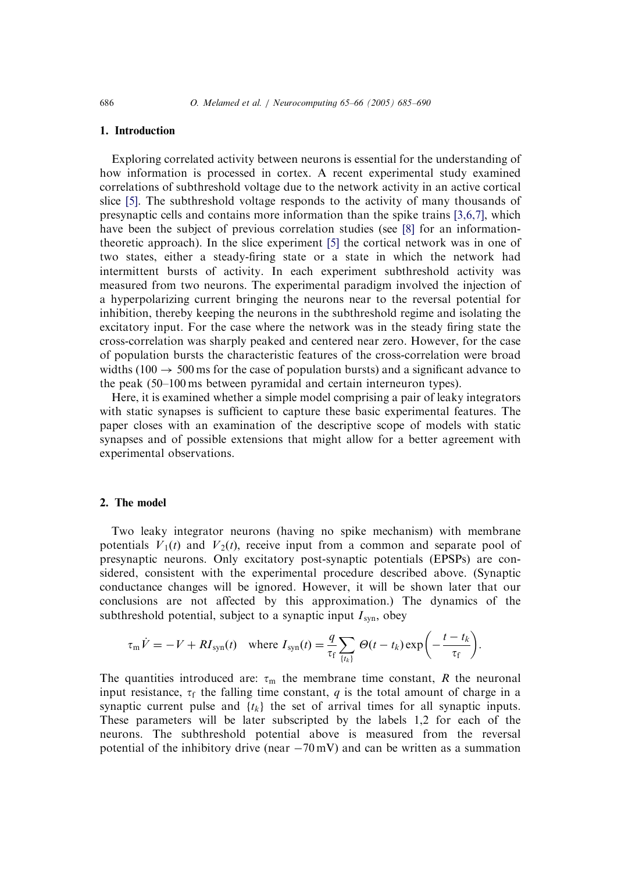## 1. Introduction

Exploring correlated activity between neurons is essential for the understanding of how information is processed in cortex. A recent experimental study examined correlations of subthreshold voltage due to the network activity in an active cortical slice [\[5\]](#page-5-0). The subthreshold voltage responds to the activity of many thousands of presynaptic cells and contains more information than the spike trains [\[3,6,7\],](#page-5-0) which have been the subject of previous correlation studies (see [\[8\]](#page-5-0) for an informationtheoretic approach). In the slice experiment [\[5\]](#page-5-0) the cortical network was in one of two states, either a steady-firing state or a state in which the network had intermittent bursts of activity. In each experiment subthreshold activity was measured from two neurons. The experimental paradigm involved the injection of a hyperpolarizing current bringing the neurons near to the reversal potential for inhibition, thereby keeping the neurons in the subthreshold regime and isolating the excitatory input. For the case where the network was in the steady firing state the cross-correlation was sharply peaked and centered near zero. However, for the case of population bursts the characteristic features of the cross-correlation were broad widths (100  $\rightarrow$  500 ms for the case of population bursts) and a significant advance to the peak (50–100 ms between pyramidal and certain interneuron types).

Here, it is examined whether a simple model comprising a pair of leaky integrators with static synapses is sufficient to capture these basic experimental features. The paper closes with an examination of the descriptive scope of models with static synapses and of possible extensions that might allow for a better agreement with experimental observations.

### 2. The model

Two leaky integrator neurons (having no spike mechanism) with membrane potentials  $V_1(t)$  and  $V_2(t)$ , receive input from a common and separate pool of presynaptic neurons. Only excitatory post-synaptic potentials (EPSPs) are considered, consistent with the experimental procedure described above. (Synaptic conductance changes will be ignored. However, it will be shown later that our conclusions are not affected by this approximation.) The dynamics of the subthreshold potential, subject to a synaptic input  $I_{syn}$ , obey

$$
\tau_{\rm m}\dot{V} = -V + RI_{\rm syn}(t) \quad \text{where } I_{\rm syn}(t) = \frac{q}{\tau_{\rm f}} \sum_{\{t_k\}} \Theta(t - t_k) \exp\left(-\frac{t - t_k}{\tau_{\rm f}}\right).
$$

The quantities introduced are:  $\tau_m$  the membrane time constant, R the neuronal input resistance,  $\tau_f$  the falling time constant, q is the total amount of charge in a synaptic current pulse and  $\{t_k\}$  the set of arrival times for all synaptic inputs. These parameters will be later subscripted by the labels 1,2 for each of the neurons. The subthreshold potential above is measured from the reversal potential of the inhibitory drive (near  $-70 \text{ mV}$ ) and can be written as a summation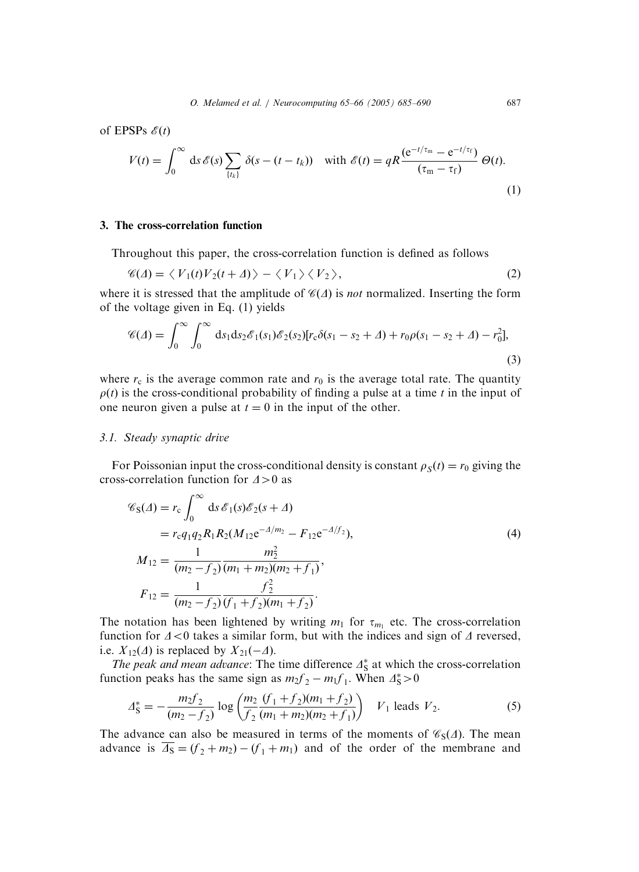of EPSPs  $\mathscr{E}(t)$ 

$$
V(t) = \int_0^\infty ds \,\mathcal{E}(s) \sum_{\{t_k\}} \delta(s - (t - t_k)) \quad \text{with } \mathcal{E}(t) = qR \frac{(e^{-t/\tau_m} - e^{-t/\tau_f})}{(\tau_m - \tau_f)} \,\Theta(t). \tag{1}
$$

### 3. The cross-correlation function

Throughout this paper, the cross-correlation function is defined as follows

$$
\mathscr{C}(\Delta) = \langle V_1(t)V_2(t+\Delta) \rangle - \langle V_1 \rangle \langle V_2 \rangle, \tag{2}
$$

where it is stressed that the amplitude of  $\mathcal{C}(\Lambda)$  is not normalized. Inserting the form of the voltage given in Eq. (1) yields

$$
\mathscr{C}(\varDelta) = \int_0^\infty \int_0^\infty ds_1 ds_2 \mathscr{E}_1(s_1) \mathscr{E}_2(s_2) [r_c \delta(s_1 - s_2 + \varDelta) + r_0 \rho(s_1 - s_2 + \varDelta) - r_0^2],\tag{3}
$$

where  $r_c$  is the average common rate and  $r_0$  is the average total rate. The quantity  $\rho(t)$  is the cross-conditional probability of finding a pulse at a time t in the input of one neuron given a pulse at  $t = 0$  in the input of the other.

## 3.1. Steady synaptic drive

For Poissonian input the cross-conditional density is constant  $\rho_s(t) = r_0$  giving the cross-correlation function for  $\Delta > 0$  as

$$
\mathscr{C}_{S}(A) = r_{c} \int_{0}^{\infty} ds \,\mathscr{E}_{1}(s)\mathscr{E}_{2}(s+A)
$$
  
\n
$$
= r_{c}q_{1}q_{2}R_{1}R_{2}(M_{12}e^{-A/m_{2}} - F_{12}e^{-A/f_{2}}),
$$
  
\n
$$
M_{12} = \frac{1}{(m_{2} - f_{2})} \frac{m_{2}^{2}}{(m_{1} + m_{2})(m_{2} + f_{1})},
$$
  
\n
$$
F_{12} = \frac{1}{(m_{2} - f_{2})} \frac{f_{2}^{2}}{(f_{1} + f_{2})(m_{1} + f_{2})}.
$$
  
\n(4)

The notation has been lightened by writing  $m_1$  for  $\tau_{m_1}$  etc. The cross-correlation function for  $\Delta < 0$  takes a similar form, but with the indices and sign of  $\Delta$  reversed, i.e.  $X_{12}(\Delta)$  is replaced by  $X_{21}(-\Delta)$ .

The peak and mean advance: The time difference  $\Lambda_S^*$  at which the cross-correlation function peaks has the same sign as  $m_2 f_2 - m_1 f_1$ . When  $\Delta_S^* > 0$ 

$$
\Delta_{\rm S}^* = -\frac{m_2 f_2}{(m_2 - f_2)} \log \left( \frac{m_2}{f_2} \frac{(f_1 + f_2)(m_1 + f_2)}{(m_1 + m_2)(m_2 + f_1)} \right) \quad V_1 \text{ leads } V_2. \tag{5}
$$

The advance can also be measured in terms of the moments of  $\mathcal{C}_S(\Lambda)$ . The mean advance is  $\overline{\Delta s} = (f_2 + m_2) - (f_1 + m_1)$  and of the order of the membrane and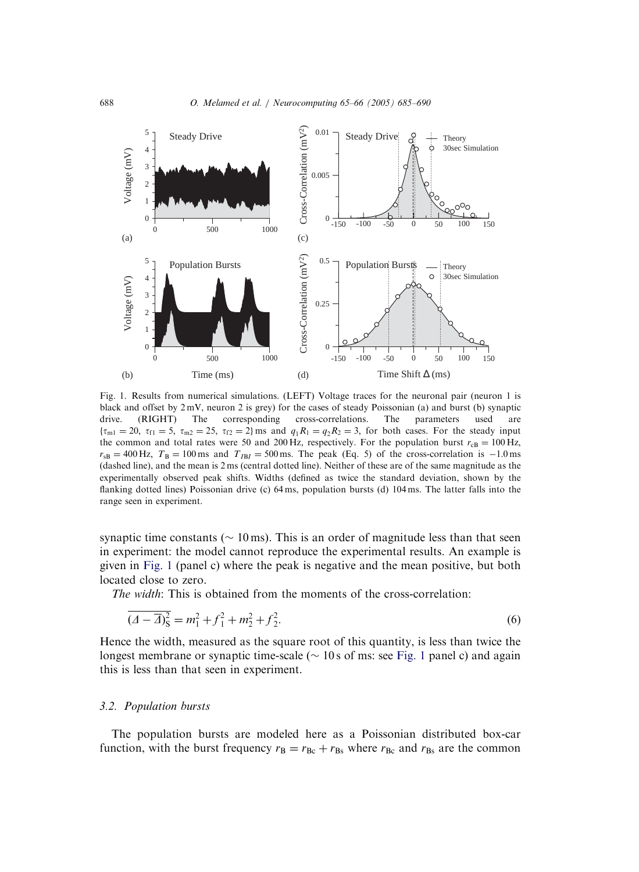<span id="page-3-0"></span>

Fig. 1. Results from numerical simulations. (LEFT) Voltage traces for the neuronal pair (neuron 1 is black and offset by 2 mV, neuron 2 is grey) for the cases of steady Poissonian (a) and burst (b) synaptic drive. (RIGHT) The corresponding cross-correlations. The parameters used are  $\{\tau_{m1} = 20, \tau_{f1} = 5, \tau_{m2} = 25, \tau_{f2} = 2\}$  ms and  $q_1R_1 = q_2R_2 = 3$ , for both cases. For the steady input the common and total rates were 50 and 200 Hz, respectively. For the population burst  $r_{\text{cB}} = 100 \text{ Hz}$ ,  $r_{SB} = 400$  Hz,  $T_B = 100$  ms and  $T_{IBI} = 500$  ms. The peak (Eq. 5) of the cross-correlation is  $-1.0$  ms (dashed line), and the mean is 2 ms (central dotted line). Neither of these are of the same magnitude as the experimentally observed peak shifts. Widths (defined as twice the standard deviation, shown by the flanking dotted lines) Poissonian drive (c) 64 ms, population bursts (d) 104 ms. The latter falls into the range seen in experiment.

synaptic time constants ( $\sim 10$  ms). This is an order of magnitude less than that seen in experiment: the model cannot reproduce the experimental results. An example is given in Fig. 1 (panel c) where the peak is negative and the mean positive, but both located close to zero.

The width: This is obtained from the moments of the cross-correlation:

$$
\overline{(A-\overline{A})_S^2} = m_1^2 + f_1^2 + m_2^2 + f_2^2.
$$
\n(6)

Hence the width, measured as the square root of this quantity, is less than twice the longest membrane or synaptic time-scale ( $\sim$  10 s of ms: see Fig. 1 panel c) and again this is less than that seen in experiment.

## 3.2. Population bursts

The population bursts are modeled here as a Poissonian distributed box-car function, with the burst frequency  $r_B = r_{Bc} + r_{Bs}$  where  $r_{Bc}$  and  $r_{Bs}$  are the common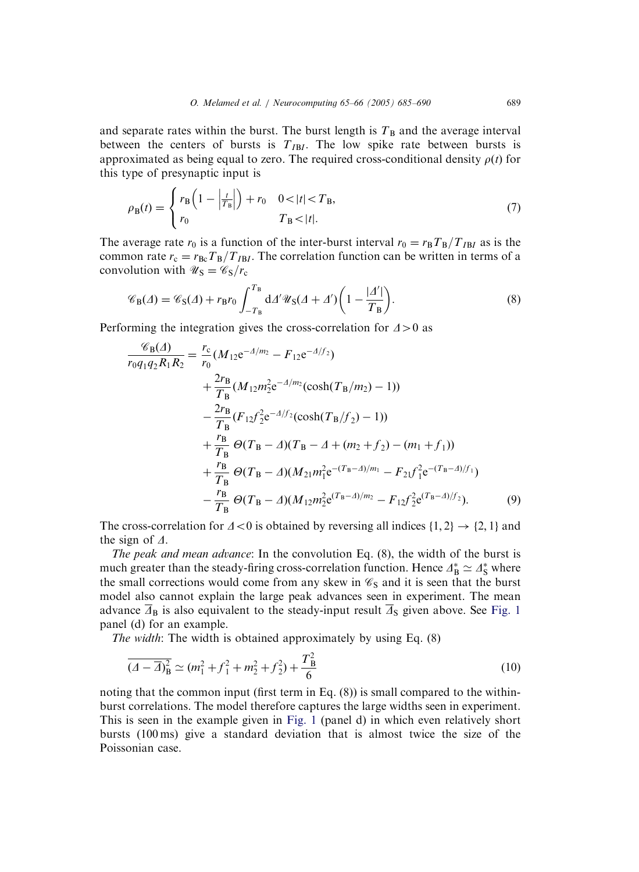and separate rates within the burst. The burst length is  $T<sub>B</sub>$  and the average interval between the centers of bursts is  $T_{IBI}$ . The low spike rate between bursts is approximated as being equal to zero. The required cross-conditional density  $\rho(t)$  for this type of presynaptic input is

$$
\rho_{\rm B}(t) = \begin{cases} r_{\rm B} \left( 1 - \left| \frac{t}{T_{\rm B}} \right| \right) + r_0 & 0 < |t| < T_{\rm B}, \\ r_0 & T_{\rm B} < |t|. \end{cases} \tag{7}
$$

The average rate  $r_0$  is a function of the inter-burst interval  $r_0 = r_B T_B / T_{IBI}$  as is the common rate  $r_c = r_{\text{Be}}T_B/T_{IBI}$ . The correlation function can be written in terms of a convolution with  $\mathscr{U}_{\mathbf{S}}=\mathscr{C}_{\mathbf{S}}/r_{\mathrm{c}}$ 

$$
\mathscr{C}_{\mathcal{B}}(\varDelta) = \mathscr{C}_{\mathcal{S}}(\varDelta) + r_{\mathcal{B}}r_0 \int_{-T_{\mathcal{B}}}^{T_{\mathcal{B}}} d\varDelta' \mathscr{U}_{\mathcal{S}}(\varDelta + \varDelta') \bigg(1 - \frac{|\varDelta'|}{T_{\mathcal{B}}}\bigg). \tag{8}
$$

Performing the integration gives the cross-correlation for  $\Delta > 0$  as

CBðDÞ

$$
\frac{\mathcal{C}_{B}(A)}{r_{0}q_{1}q_{2}R_{1}R_{2}} = \frac{r_{c}}{r_{0}} (M_{12}e^{-A/m_{2}} - F_{12}e^{-A/f_{2}})
$$
  
+ 
$$
\frac{2r_{B}}{T_{B}} (M_{12}m_{2}^{2}e^{-A/m_{2}}(\cosh(T_{B}/m_{2}) - 1))
$$
  
- 
$$
\frac{2r_{B}}{T_{B}} (F_{12}f_{2}^{2}e^{-A/f_{2}}(\cosh(T_{B}/f_{2}) - 1))
$$
  
+ 
$$
\frac{r_{B}}{T_{B}} \Theta(T_{B} - A)(T_{B} - A + (m_{2} + f_{2}) - (m_{1} + f_{1}))
$$
  
+ 
$$
\frac{r_{B}}{T_{B}} \Theta(T_{B} - A)(M_{21}m_{1}^{2}e^{-(T_{B} - A)/m_{1}} - F_{21}f_{1}^{2}e^{-(T_{B} - A)/f_{1}})
$$
  
- 
$$
\frac{r_{B}}{T_{B}} \Theta(T_{B} - A)(M_{12}m_{2}^{2}e^{(T_{B} - A)/m_{2}} - F_{12}f_{2}^{2}e^{(T_{B} - A)/f_{2}}).
$$
(9)

The cross-correlation for  $\Delta < 0$  is obtained by reversing all indices  $\{1, 2\} \rightarrow \{2, 1\}$  and the sign of  $\Delta$ .

The peak and mean advance: In the convolution Eq. (8), the width of the burst is much greater than the steady-firing cross-correlation function. Hence  $\Delta_B^* \simeq \Delta_S^*$  where the small corrections would come from any skew in  $\mathcal{C}_S$  and it is seen that the burst model also cannot explain the large peak advances seen in experiment. The mean advance  $\overline{\Delta}_B$  is also equivalent to the steady-input result  $\overline{\Delta}_S$  given above. See [Fig. 1](#page-3-0) panel (d) for an example.

The width: The width is obtained approximately by using Eq.  $(8)$ 

$$
\overline{(A - \overline{A})_B^2} \simeq (m_1^2 + f_1^2 + m_2^2 + f_2^2) + \frac{T_B^2}{6}
$$
\n(10)

noting that the common input (first term in Eq. (8)) is small compared to the withinburst correlations. The model therefore captures the large widths seen in experiment. This is seen in the example given in [Fig. 1](#page-3-0) (panel d) in which even relatively short bursts (100 ms) give a standard deviation that is almost twice the size of the Poissonian case.